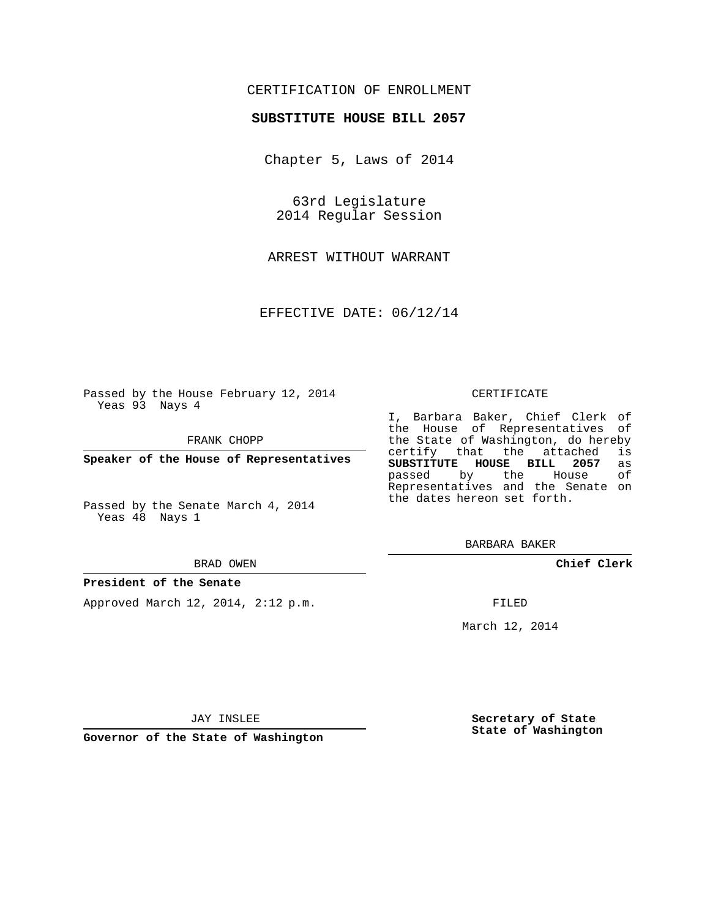# CERTIFICATION OF ENROLLMENT

## **SUBSTITUTE HOUSE BILL 2057**

Chapter 5, Laws of 2014

63rd Legislature 2014 Regular Session

ARREST WITHOUT WARRANT

EFFECTIVE DATE: 06/12/14

Passed by the House February 12, 2014 Yeas 93 Nays 4

FRANK CHOPP

**Speaker of the House of Representatives**

Passed by the Senate March 4, 2014 Yeas 48 Nays 1

#### BRAD OWEN

### **President of the Senate**

Approved March 12, 2014, 2:12 p.m.

#### CERTIFICATE

I, Barbara Baker, Chief Clerk of the House of Representatives of the State of Washington, do hereby<br>certify that the attached is certify that the attached **SUBSTITUTE HOUSE BILL 2057** as passed by the Representatives and the Senate on the dates hereon set forth.

BARBARA BAKER

**Chief Clerk**

FILED

March 12, 2014

JAY INSLEE

**Governor of the State of Washington**

**Secretary of State State of Washington**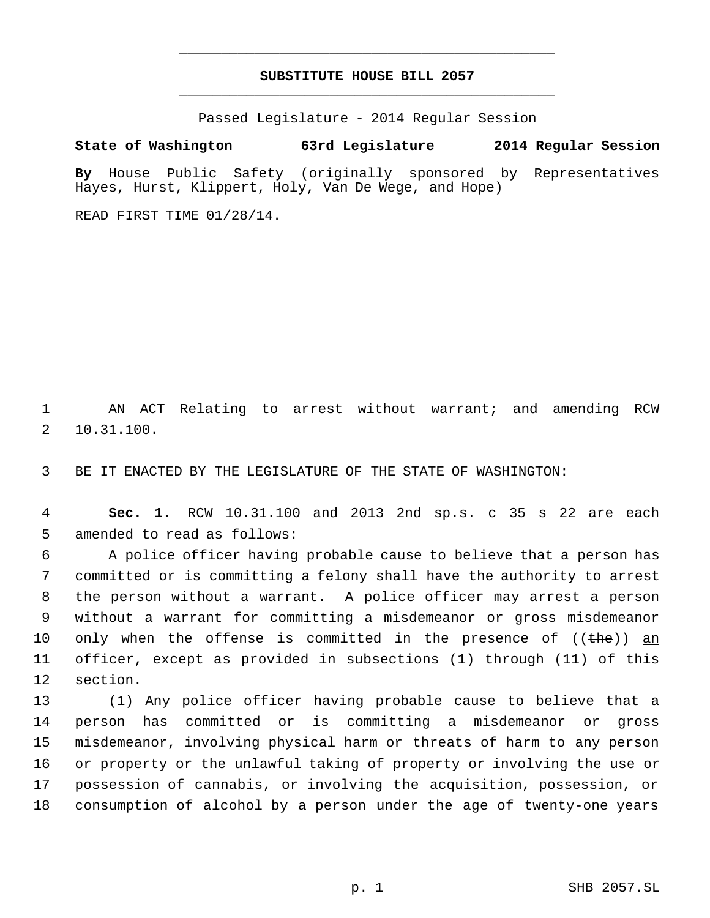# **SUBSTITUTE HOUSE BILL 2057** \_\_\_\_\_\_\_\_\_\_\_\_\_\_\_\_\_\_\_\_\_\_\_\_\_\_\_\_\_\_\_\_\_\_\_\_\_\_\_\_\_\_\_\_\_

\_\_\_\_\_\_\_\_\_\_\_\_\_\_\_\_\_\_\_\_\_\_\_\_\_\_\_\_\_\_\_\_\_\_\_\_\_\_\_\_\_\_\_\_\_

Passed Legislature - 2014 Regular Session

## **State of Washington 63rd Legislature 2014 Regular Session**

**By** House Public Safety (originally sponsored by Representatives Hayes, Hurst, Klippert, Holy, Van De Wege, and Hope)

READ FIRST TIME 01/28/14.

 AN ACT Relating to arrest without warrant; and amending RCW 10.31.100.

BE IT ENACTED BY THE LEGISLATURE OF THE STATE OF WASHINGTON:

 **Sec. 1.** RCW 10.31.100 and 2013 2nd sp.s. c 35 s 22 are each amended to read as follows:

 A police officer having probable cause to believe that a person has committed or is committing a felony shall have the authority to arrest the person without a warrant. A police officer may arrest a person without a warrant for committing a misdemeanor or gross misdemeanor 10 only when the offense is committed in the presence of  $((the))$  an officer, except as provided in subsections (1) through (11) of this section.

 (1) Any police officer having probable cause to believe that a person has committed or is committing a misdemeanor or gross misdemeanor, involving physical harm or threats of harm to any person or property or the unlawful taking of property or involving the use or possession of cannabis, or involving the acquisition, possession, or consumption of alcohol by a person under the age of twenty-one years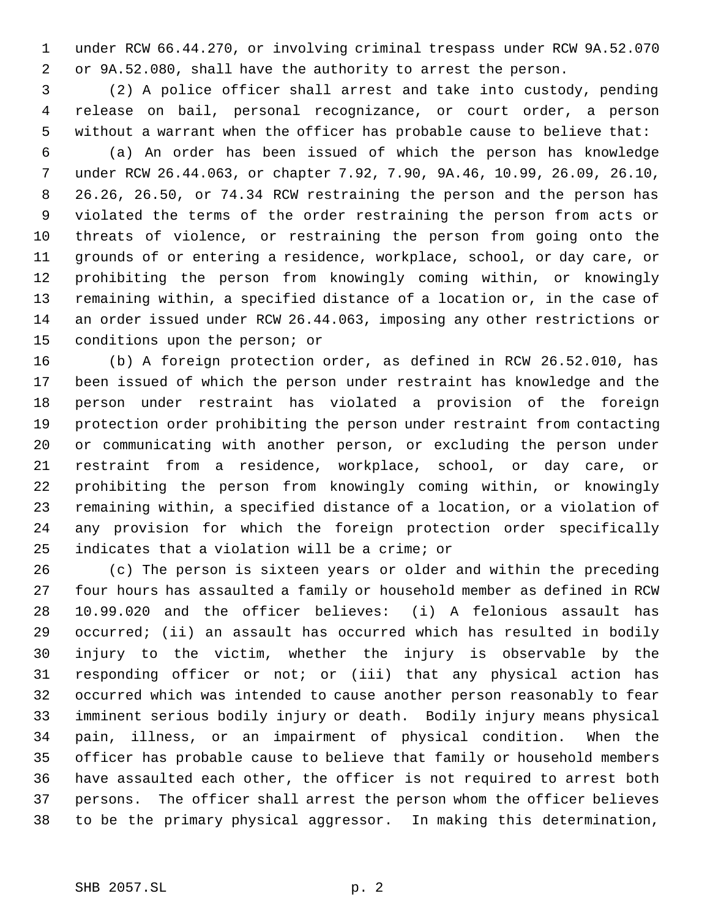under RCW 66.44.270, or involving criminal trespass under RCW 9A.52.070 or 9A.52.080, shall have the authority to arrest the person.

 (2) A police officer shall arrest and take into custody, pending release on bail, personal recognizance, or court order, a person without a warrant when the officer has probable cause to believe that:

 (a) An order has been issued of which the person has knowledge under RCW 26.44.063, or chapter 7.92, 7.90, 9A.46, 10.99, 26.09, 26.10, 26.26, 26.50, or 74.34 RCW restraining the person and the person has violated the terms of the order restraining the person from acts or threats of violence, or restraining the person from going onto the grounds of or entering a residence, workplace, school, or day care, or prohibiting the person from knowingly coming within, or knowingly remaining within, a specified distance of a location or, in the case of an order issued under RCW 26.44.063, imposing any other restrictions or conditions upon the person; or

 (b) A foreign protection order, as defined in RCW 26.52.010, has been issued of which the person under restraint has knowledge and the person under restraint has violated a provision of the foreign protection order prohibiting the person under restraint from contacting or communicating with another person, or excluding the person under restraint from a residence, workplace, school, or day care, or prohibiting the person from knowingly coming within, or knowingly remaining within, a specified distance of a location, or a violation of any provision for which the foreign protection order specifically indicates that a violation will be a crime; or

 (c) The person is sixteen years or older and within the preceding four hours has assaulted a family or household member as defined in RCW 10.99.020 and the officer believes: (i) A felonious assault has occurred; (ii) an assault has occurred which has resulted in bodily injury to the victim, whether the injury is observable by the responding officer or not; or (iii) that any physical action has occurred which was intended to cause another person reasonably to fear imminent serious bodily injury or death. Bodily injury means physical pain, illness, or an impairment of physical condition. When the officer has probable cause to believe that family or household members have assaulted each other, the officer is not required to arrest both persons. The officer shall arrest the person whom the officer believes to be the primary physical aggressor. In making this determination,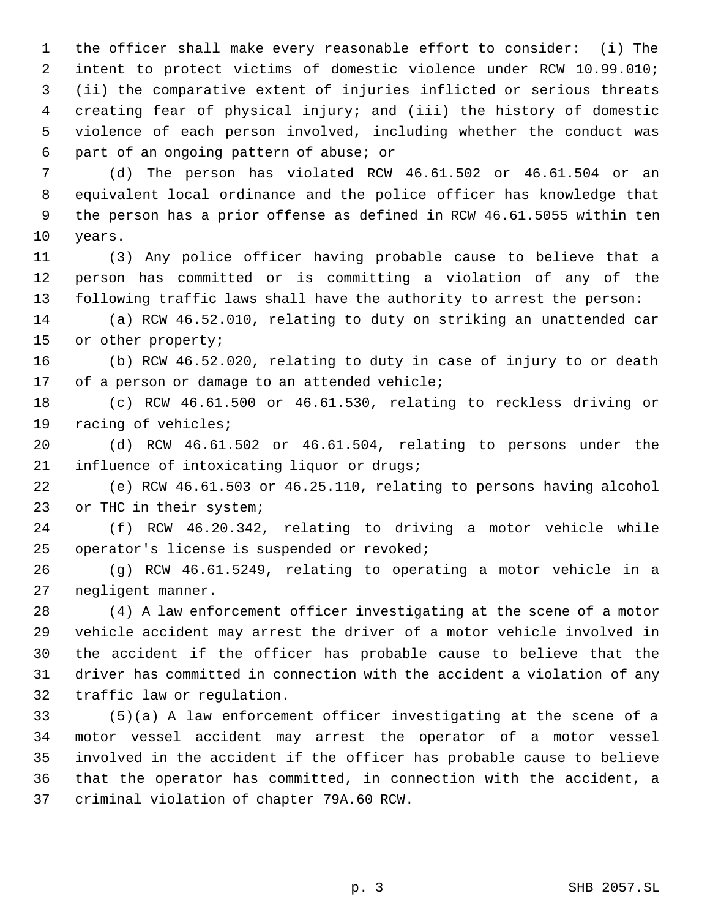the officer shall make every reasonable effort to consider: (i) The intent to protect victims of domestic violence under RCW 10.99.010; (ii) the comparative extent of injuries inflicted or serious threats creating fear of physical injury; and (iii) the history of domestic violence of each person involved, including whether the conduct was part of an ongoing pattern of abuse; or

 (d) The person has violated RCW 46.61.502 or 46.61.504 or an equivalent local ordinance and the police officer has knowledge that the person has a prior offense as defined in RCW 46.61.5055 within ten years.

 (3) Any police officer having probable cause to believe that a person has committed or is committing a violation of any of the following traffic laws shall have the authority to arrest the person:

 (a) RCW 46.52.010, relating to duty on striking an unattended car or other property;

 (b) RCW 46.52.020, relating to duty in case of injury to or death of a person or damage to an attended vehicle;

 (c) RCW 46.61.500 or 46.61.530, relating to reckless driving or racing of vehicles;

 (d) RCW 46.61.502 or 46.61.504, relating to persons under the influence of intoxicating liquor or drugs;

 (e) RCW 46.61.503 or 46.25.110, relating to persons having alcohol 23 or THC in their system;

 (f) RCW 46.20.342, relating to driving a motor vehicle while operator's license is suspended or revoked;

 (g) RCW 46.61.5249, relating to operating a motor vehicle in a negligent manner.

 (4) A law enforcement officer investigating at the scene of a motor vehicle accident may arrest the driver of a motor vehicle involved in the accident if the officer has probable cause to believe that the driver has committed in connection with the accident a violation of any traffic law or regulation.

 (5)(a) A law enforcement officer investigating at the scene of a motor vessel accident may arrest the operator of a motor vessel involved in the accident if the officer has probable cause to believe that the operator has committed, in connection with the accident, a criminal violation of chapter 79A.60 RCW.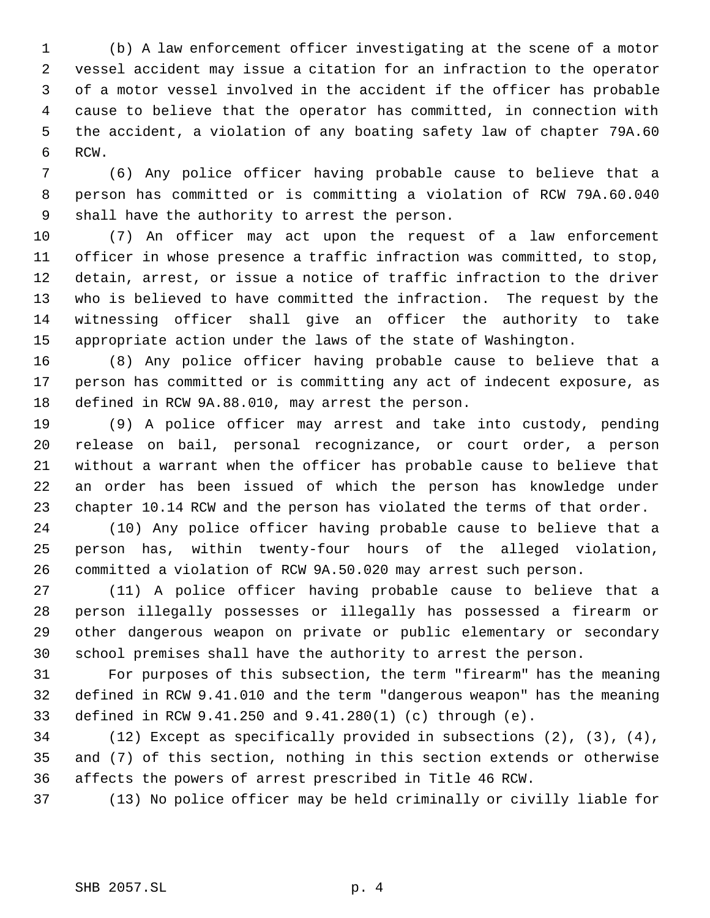(b) A law enforcement officer investigating at the scene of a motor vessel accident may issue a citation for an infraction to the operator of a motor vessel involved in the accident if the officer has probable cause to believe that the operator has committed, in connection with the accident, a violation of any boating safety law of chapter 79A.60 RCW.

 (6) Any police officer having probable cause to believe that a person has committed or is committing a violation of RCW 79A.60.040 shall have the authority to arrest the person.

 (7) An officer may act upon the request of a law enforcement officer in whose presence a traffic infraction was committed, to stop, detain, arrest, or issue a notice of traffic infraction to the driver who is believed to have committed the infraction. The request by the witnessing officer shall give an officer the authority to take appropriate action under the laws of the state of Washington.

 (8) Any police officer having probable cause to believe that a person has committed or is committing any act of indecent exposure, as defined in RCW 9A.88.010, may arrest the person.

 (9) A police officer may arrest and take into custody, pending release on bail, personal recognizance, or court order, a person without a warrant when the officer has probable cause to believe that an order has been issued of which the person has knowledge under chapter 10.14 RCW and the person has violated the terms of that order.

 (10) Any police officer having probable cause to believe that a person has, within twenty-four hours of the alleged violation, committed a violation of RCW 9A.50.020 may arrest such person.

 (11) A police officer having probable cause to believe that a person illegally possesses or illegally has possessed a firearm or other dangerous weapon on private or public elementary or secondary school premises shall have the authority to arrest the person.

 For purposes of this subsection, the term "firearm" has the meaning defined in RCW 9.41.010 and the term "dangerous weapon" has the meaning defined in RCW 9.41.250 and 9.41.280(1) (c) through (e).

 (12) Except as specifically provided in subsections (2), (3), (4), and (7) of this section, nothing in this section extends or otherwise affects the powers of arrest prescribed in Title 46 RCW.

(13) No police officer may be held criminally or civilly liable for